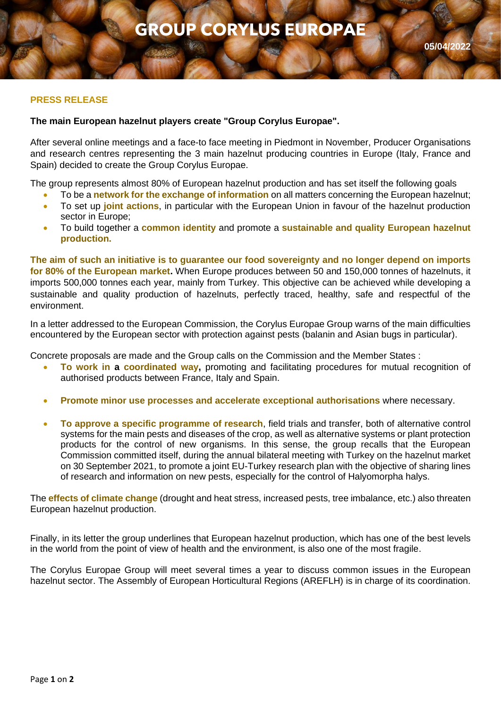## **PRESS RELEASE**

## **The main European hazelnut players create "Group Corylus Europae".**

After several online meetings and a face-to face meeting in Piedmont in November, Producer Organisations and research centres representing the 3 main hazelnut producing countries in Europe (Italy, France and Spain) decided to create the Group Corylus Europae.

The group represents almost 80% of European hazelnut production and has set itself the following goals

- To be a **network for the exchange of information** on all matters concerning the European hazelnut;
- To set up **joint actions**, in particular with the European Union in favour of the hazelnut production sector in Europe;
- To build together a **common identity** and promote a **sustainable and quality European hazelnut production.**

**The aim of such an initiative is to guarantee our food sovereignty and no longer depend on imports for 80% of the European market.** When Europe produces between 50 and 150,000 tonnes of hazelnuts, it imports 500,000 tonnes each year, mainly from Turkey. This objective can be achieved while developing a sustainable and quality production of hazelnuts, perfectly traced, healthy, safe and respectful of the environment.

In a letter addressed to the European Commission, the Corylus Europae Group warns of the main difficulties encountered by the European sector with protection against pests (balanin and Asian bugs in particular).

Concrete proposals are made and the Group calls on the Commission and the Member States :

- **To work in a coordinated way,** promoting and facilitating procedures for mutual recognition of authorised products between France, Italy and Spain.
- **Promote minor use processes and accelerate exceptional authorisations** where necessary.
- **To approve a specific programme of research**, field trials and transfer, both of alternative control systems for the main pests and diseases of the crop, as well as alternative systems or plant protection products for the control of new organisms. In this sense, the group recalls that the European Commission committed itself, during the annual bilateral meeting with Turkey on the hazelnut market on 30 September 2021, to promote a joint EU-Turkey research plan with the objective of sharing lines of research and information on new pests, especially for the control of Halyomorpha halys.

The **effects of climate change** (drought and heat stress, increased pests, tree imbalance, etc.) also threaten European hazelnut production.

Finally, in its letter the group underlines that European hazelnut production, which has one of the best levels in the world from the point of view of health and the environment, is also one of the most fragile.

The Corylus Europae Group will meet several times a year to discuss common issues in the European hazelnut sector. The Assembly of European Horticultural Regions (AREFLH) is in charge of its coordination.